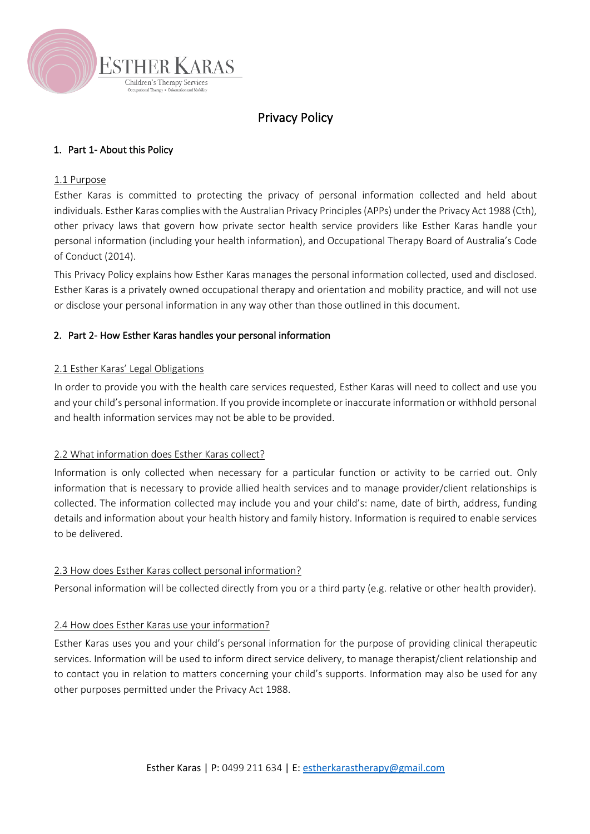

# Privacy Policy

# 1. Part 1- About this Policy

#### 1.1 Purpose

Esther Karas is committed to protecting the privacy of personal information collected and held about individuals. Esther Karas complies with the Australian Privacy Principles (APPs) under the Privacy Act 1988 (Cth), other privacy laws that govern how private sector health service providers like Esther Karas handle your personal information (including your health information), and Occupational Therapy Board of Australia's Code of Conduct (2014).

This Privacy Policy explains how Esther Karas manages the personal information collected, used and disclosed. Esther Karas is a privately owned occupational therapy and orientation and mobility practice, and will not use or disclose your personal information in any way other than those outlined in this document.

## 2. Part 2- How Esther Karas handles your personal information

#### 2.1 Esther Karas' Legal Obligations

In order to provide you with the health care services requested, Esther Karas will need to collect and use you and your child's personal information. If you provide incomplete or inaccurate information or withhold personal and health information services may not be able to be provided.

## 2.2 What information does Esther Karas collect?

Information is only collected when necessary for a particular function or activity to be carried out. Only information that is necessary to provide allied health services and to manage provider/client relationships is collected. The information collected may include you and your child's: name, date of birth, address, funding details and information about your health history and family history. Information is required to enable services to be delivered.

## 2.3 How does Esther Karas collect personal information?

Personal information will be collected directly from you or a third party (e.g. relative or other health provider).

## 2.4 How does Esther Karas use your information?

Esther Karas uses you and your child's personal information for the purpose of providing clinical therapeutic services. Information will be used to inform direct service delivery, to manage therapist/client relationship and to contact you in relation to matters concerning your child's supports. Information may also be used for any other purposes permitted under the Privacy Act 1988.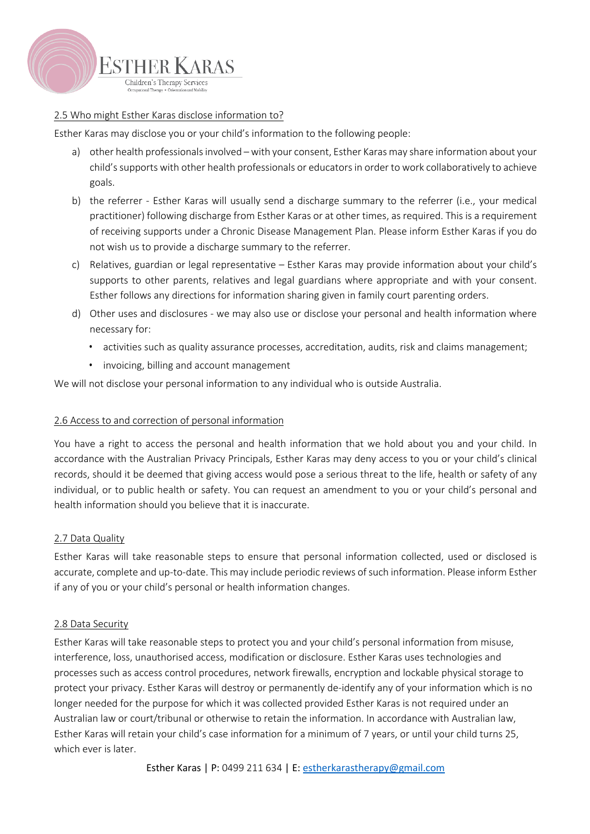

## 2.5 Who might Esther Karas disclose information to?

Esther Karas may disclose you or your child's information to the following people:

- a) other health professionals involved with your consent, Esther Karas may share information about your child's supports with other health professionals or educators in order to work collaboratively to achieve goals.
- b) the referrer Esther Karas will usually send a discharge summary to the referrer (i.e., your medical practitioner) following discharge from Esther Karas or at other times, as required. This is a requirement of receiving supports under a Chronic Disease Management Plan. Please inform Esther Karas if you do not wish us to provide a discharge summary to the referrer.
- c) Relatives, guardian or legal representative Esther Karas may provide information about your child's supports to other parents, relatives and legal guardians where appropriate and with your consent. Esther follows any directions for information sharing given in family court parenting orders.
- d) Other uses and disclosures we may also use or disclose your personal and health information where necessary for:
	- activities such as quality assurance processes, accreditation, audits, risk and claims management;
	- invoicing, billing and account management

We will not disclose your personal information to any individual who is outside Australia.

## 2.6 Access to and correction of personal information

You have a right to access the personal and health information that we hold about you and your child. In accordance with the Australian Privacy Principals, Esther Karas may deny access to you or your child's clinical records, should it be deemed that giving access would pose a serious threat to the life, health or safety of any individual, or to public health or safety. You can request an amendment to you or your child's personal and health information should you believe that it is inaccurate.

## 2.7 Data Quality

Esther Karas will take reasonable steps to ensure that personal information collected, used or disclosed is accurate, complete and up-to-date. This may include periodic reviews of such information. Please inform Esther if any of you or your child's personal or health information changes.

## 2.8 Data Security

Esther Karas will take reasonable steps to protect you and your child's personal information from misuse, interference, loss, unauthorised access, modification or disclosure. Esther Karas uses technologies and processes such as access control procedures, network firewalls, encryption and lockable physical storage to protect your privacy. Esther Karas will destroy or permanently de-identify any of your information which is no longer needed for the purpose for which it was collected provided Esther Karas is not required under an Australian law or court/tribunal or otherwise to retain the information. In accordance with Australian law, Esther Karas will retain your child's case information for a minimum of 7 years, or until your child turns 25, which ever is later.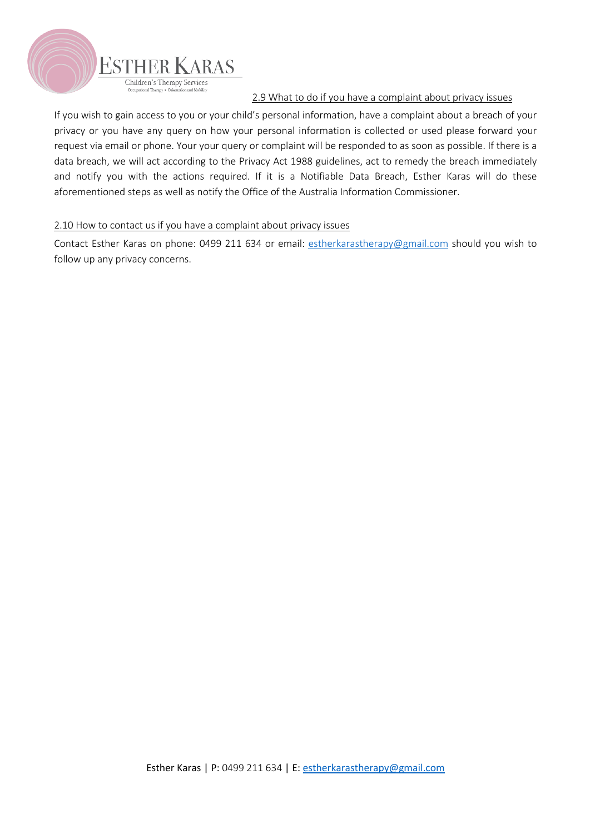

# 2.9 What to do if you have a complaint about privacy issues

If you wish to gain access to you or your child's personal information, have a complaint about a breach of your privacy or you have any query on how your personal information is collected or used please forward your request via email or phone. Your your query or complaint will be responded to as soon as possible. If there is a data breach, we will act according to the Privacy Act 1988 guidelines, act to remedy the breach immediately and notify you with the actions required. If it is a Notifiable Data Breach, Esther Karas will do these aforementioned steps as well as notify the Office of the Australia Information Commissioner.

# 2.10 How to contact us if you have a complaint about privacy issues

Contact Esther Karas on phone: 0499 211 634 or email: estherkarastherapy@gmail.com should you wish to follow up any privacy concerns.